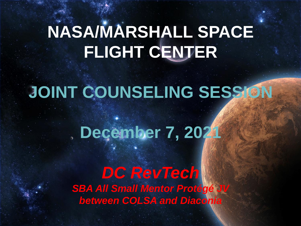## **NASA/MARSHALL SPACE FLIGHT CENTER**

## **JOINT COUNSELING SESSION**

## **December 7, 2021**

#### *DC RevTech* **SBA All Small Mentor Protégé J** *between COLSA and Diaconia*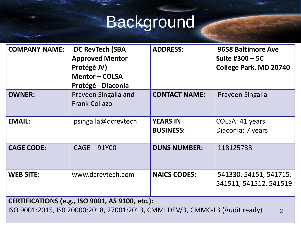# Background

| <b>COMPANY NAME:</b>                                                                                                                                     | <b>DC RevTech (SBA</b><br><b>Approved Mentor</b><br>Protégé JV)<br><b>Mentor-COLSA</b><br>Protégé - Diaconia | <b>ADDRESS:</b>                     | 9658 Baltimore Ave<br>Suite #300 – 5C<br>College Park, MD 20740 |  |
|----------------------------------------------------------------------------------------------------------------------------------------------------------|--------------------------------------------------------------------------------------------------------------|-------------------------------------|-----------------------------------------------------------------|--|
| <b>OWNER:</b>                                                                                                                                            | Praveen Singalla and<br><b>Frank Collazo</b>                                                                 | <b>CONTACT NAME:</b>                | Praveen Singalla                                                |  |
| <b>EMAIL:</b>                                                                                                                                            | psingalla@dcrevtech                                                                                          | <b>YEARS IN</b><br><b>BUSINESS:</b> | COLSA: 41 years<br>Diaconia: 7 years                            |  |
| <b>CAGE CODE:</b>                                                                                                                                        | $CAGE - 91YCO$                                                                                               | <b>DUNS NUMBER:</b>                 | 118125738                                                       |  |
| <b>WEB SITE:</b>                                                                                                                                         | www.dcrevtech.com                                                                                            | <b>NAICS CODES:</b>                 | 541330, 54151, 541715,<br>541511, 541512, 541519                |  |
| <b>CERTIFICATIONS (e.g., ISO 9001, AS 9100, etc.):</b><br>ISO 9001:2015, ISO 20000:2018, 27001:2013, CMMI DEV/3, CMMC-L3 (Audit ready)<br>$\overline{2}$ |                                                                                                              |                                     |                                                                 |  |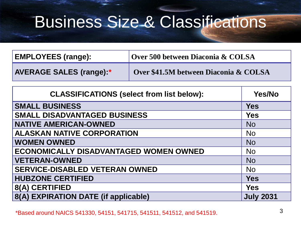## Business Size & Classifications

| <b>EMPLOYEES (range):</b>       | Over 500 between Diaconia & COLSA     |  |
|---------------------------------|---------------------------------------|--|
| <b>AVERAGE SALES (range):*/</b> | Over \$41.5M between Diaconia & COLSA |  |

| <b>CLASSIFICATIONS (select from list below):</b> | <b>Yes/No</b>    |
|--------------------------------------------------|------------------|
| <b>SMALL BUSINESS</b>                            | <b>Yes</b>       |
| <b>SMALL DISADVANTAGED BUSINESS</b>              | <b>Yes</b>       |
| <b>NATIVE AMERICAN-OWNED</b>                     | <b>No</b>        |
| <b>ALASKAN NATIVE CORPORATION</b>                | <b>No</b>        |
| <b>WOMEN OWNED</b>                               | <b>No</b>        |
| <b>ECONOMICALLY DISADVANTAGED WOMEN OWNED</b>    | <b>No</b>        |
| <b>VETERAN-OWNED</b>                             | <b>No</b>        |
| <b>SERVICE-DISABLED VETERAN OWNED</b>            | <b>No</b>        |
| <b>HUBZONE CERTIFIED</b>                         | <b>Yes</b>       |
| 8(A) CERTIFIED                                   | <b>Yes</b>       |
| 8(A) EXPIRATION DATE (if applicable)             | <b>July 2031</b> |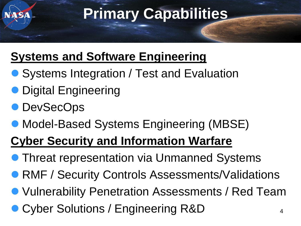## **Primary Capabilities**

#### **Systems and Software Engineering**

- Systems Integration / Test and Evaluation
- Digital Engineering
- ⚫ DevSecOps
- Model-Based Systems Engineering (MBSE)

### **Cyber Security and Information Warfare**

- Threat representation via Unmanned Systems
- RMF / Security Controls Assessments/Validations
- ⚫ Vulnerability Penetration Assessments / Red Team
- Cyber Solutions / Engineering R&D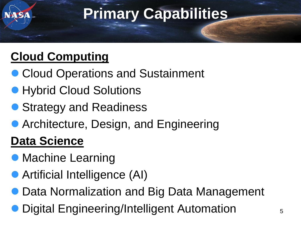## **Primary Capabilities**

### **Cloud Computing**

- Cloud Operations and Sustainment
- Hybrid Cloud Solutions
- Strategy and Readiness
- Architecture, Design, and Engineering

### **Data Science**

- Machine Learning
- Artificial Intelligence (AI)
- Data Normalization and Big Data Management
- ⚫ Digital Engineering/Intelligent Automation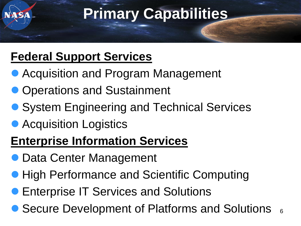## **Primary Capabilities**

#### **Federal Support Services**

- Acquisition and Program Management
- Operations and Sustainment
- System Engineering and Technical Services
- Acquisition Logistics

#### **Enterprise Information Services**

- Data Center Management
- High Performance and Scientific Computing
- ⚫ Enterprise IT Services and Solutions
- 6 ● Secure Development of Platforms and Solutions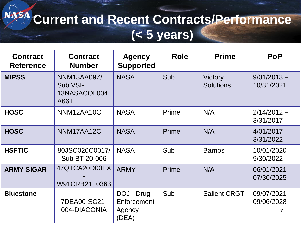### **Current and Recent Contracts/Performance (< 5 years)**

| <b>Contract</b><br><b>Reference</b> | <b>Contract</b><br><b>Number</b>                       | <b>Agency</b><br><b>Supported</b>            | <b>Role</b> | <b>Prime</b>                       | <b>PoP</b>                   |
|-------------------------------------|--------------------------------------------------------|----------------------------------------------|-------------|------------------------------------|------------------------------|
| <b>MIPSS</b>                        | NNM13AA09Z/<br>Sub VSI-<br>13NASACOL004<br><b>A66T</b> | <b>NASA</b>                                  | Sub         | <b>Victory</b><br><b>Solutions</b> | $9/01/2013 -$<br>10/31/2021  |
| <b>HOSC</b>                         | NNM12AA10C                                             | <b>NASA</b>                                  | Prime       | N/A                                | $2/14/2012 -$<br>3/31/2017   |
| <b>HOSC</b>                         | NNM17AA12C                                             | <b>NASA</b>                                  | Prime       | N/A                                | $4/01/2017 -$<br>3/31/2022   |
| <b>HSFTIC</b>                       | 80JSC020C0017/<br>Sub BT-20-006                        | <b>NASA</b>                                  | Sub         | <b>Barrios</b>                     | $10/01/2020 -$<br>9/30/2022  |
| <b>ARMY SIGAR</b>                   | 47QTCA20D00EX<br>W91CRB21F0363                         | <b>ARMY</b>                                  | Prime       | N/A                                | $06/01/2021 -$<br>07/30/2025 |
| <b>Bluestone</b>                    | 7DEA00-SC21-<br>004-DIACONIA                           | DOJ - Drug<br>Enforcement<br>Agency<br>(DEA) | Sub         | <b>Salient CRGT</b>                | $09/07/2021 -$<br>09/06/2028 |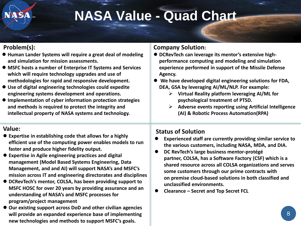#### **NASA Value - Quad Chart**

#### **Problem(s):**

- ⚫ **Human Lander Systems will require a great deal of modeling and simulation for mission assessments.**
- ⚫ **MSFC hosts a number of Enterprise IT Systems and Services which will require technology upgrades and use of methodologies for rapid and responsive development.**
- ⚫ **Use of digital engineering technologies could expedite engineering systems development and operations.**
- ⚫ **Implementation of cyber information protection strategies and methods is required to protect the integrity and intellectual property of NASA systems and technology.**

#### **Value:**

- ⚫ **Expertise in establishing code that allows for a highly efficient use of the computing power enables models to run faster and produce higher fidelity output.**
- ⚫ **Expertise in Agile engineering practices and digital management (Model Based Systems Engineering, Data Management, and and AI) will support NASA's and MSFC's mission across IT and engineering directorates and disciplines**
- ⚫ **DCRevTech's mentor, COLSA, has been providing support to MSFC HOSC for over 20 years by providing assurance and an understanding of NASA's and MSFC processes for program/project management**
- ⚫ **Our existing support across DoD and other civilian agencies will provide an expanded experience base of implementing new technologies and methods to support MSFC's goals.**

#### **Company Solution:**

- ⚫ **DCRevTech can leverage its mentor's extensive highperformance computing and modeling and simulation experience performed in support of the Missile Defense Agency.**
- ⚫ **We have developed digital engineering solutions for FDA, DEA, GSA by leveraging AI/ML/NLP. For example:**
	- ➢ **Virtual Reality platform leveraging AI/ML for psychological treatment of PTSD.**
	- ➢ **Adverse events reporting using Artificial Intelligence (AI) & Robotic Process Automation(RPA)**

#### **Status of Solution**

- ⚫ **Experienced staff are currently providing similar service to the various customers, including NASA, MDA, and DIA.**
- ⚫ **DC RevTech's large business mentor-protégé partner, COLSA, has a Software Factory (CSF) which is a shared resource across all COLSA organizations and serves some customers through our prime contracts with on premise cloud-based solutions in both classified and unclassified environments.**
- ⚫ **Clearance – Secret and Top Secret FCL**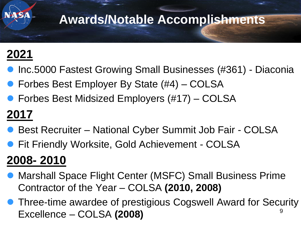### **Awards/Notable Accomplishments**

### **2021**

- ⚫ Inc.5000 Fastest Growing Small Businesses (#361) Diaconia
- Forbes Best Employer By State (#4) COLSA
- Forbes Best Midsized Employers (#17) COLSA

## **2017**

- Best Recruiter National Cyber Summit Job Fair COLSA
- Fit Friendly Worksite, Gold Achievement COLSA

### **2008- 2010**

- ⚫ Marshall Space Flight Center (MSFC) Small Business Prime Contractor of the Year – COLSA **(2010, 2008)**
- 9 ⚫ Three-time awardee of prestigious Cogswell Award for Security Excellence – COLSA **(2008)**